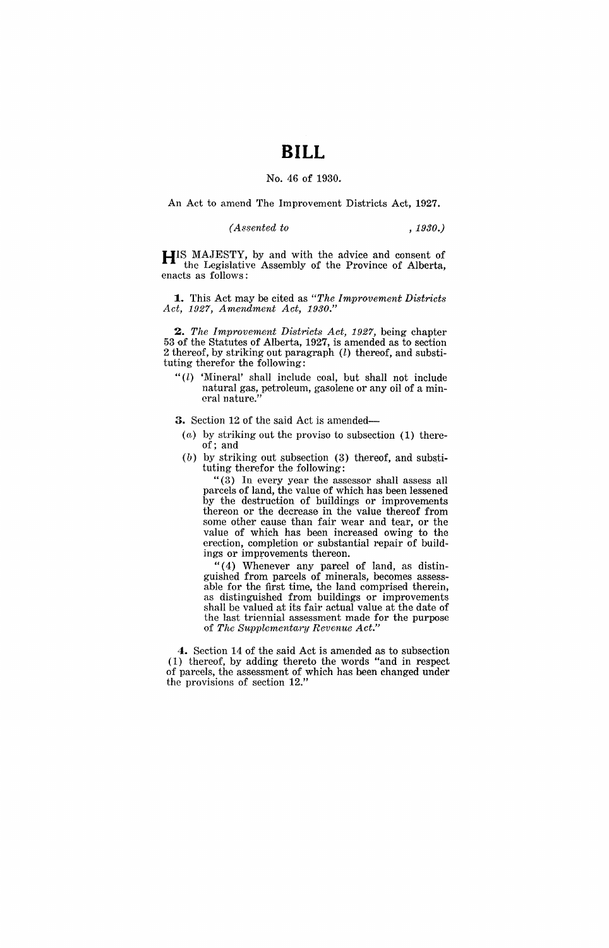## **BILL**

## No. 46 of 1930.

An Act to amend The Improvement Districts Act, 1927.

*(Assented to , 1930.)* 

**HIS** MAJESTY, by and with the advice and consent of the Legislative Assembly of the Province of Alberta, enacts as follows:

**1.** This Act may be cited as *"The Improvement Districts Act,* 1927, *Amendment Act, 1930."* 

*2. The Improvement Districts Act,* 1927, being chapter 53 of the Statutes of Alberta, 1927, is amended as to section 2 thereof, by striking out paragraph  $(l)$  thereof, and substituting therefor the following:

" $(l)$  'Mineral' shall include coal, but shall not include natural gas, petroleum, gasolene or any oil of a mineral nature."

**3.** Section 12 of the said Act is amended-

- *(a,)* by striking out the proviso to subsection (1) thereof; and
- (b) by striking out subsection (3) thereof, and substituting therefor the following:

"(3) In every year the assessor shall assess all parcels of land, the value of which has been lessened by the destruction of buildings or improvements thereon or the decrease in the value thereof from some other cause than fair wear and tear, or the value of which has been increased owing to the erection, completion or substantial repair of buildings or improvements thereon.

"(4) Whenever any parcel of land, as distinguished from parcels of minerals, becomes assessable for the first time, the land comprised therein, as distinguished from buildings or improvements shall be valued at its fair actual value at the date of the last triennial assessment made for the purpose of *The Supplementary Revenue Act."* 

**4.** Section 14 of the said Act is amended as to subsection (1) thereof, by adding thereto the words "and in respect of parcels, the assessment of which has been changed under the provisions of section 12."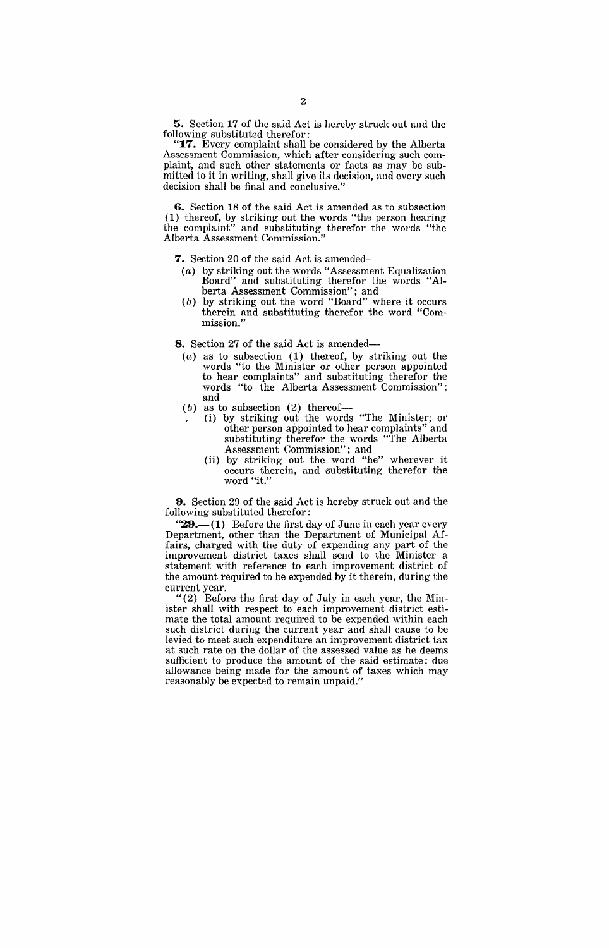5. Section 17 of the said Act is hereby struck out and the following substituted therefor:

" $17.$  Every complaint shall be considered by the Alberta Assessment Commission, which after considering such complaint, and such other statements or facts as may be submitted to it in writing, shall give its decision, and every such decision shall be final and conclusive."

6. Section 18 of the said Act is amended as to subsection (1) thereof, by striking out the words "the person hearing the complaint" and substituting therefor the words "the Alberta Assessment Commission.

7. Section 20 of the said Act is amended-

- (a) by striking out the words "Assessment Equalization Board" and substituting therefor the words berta Assessment Commission"; and
- (b) by striking out the word "Board" where it occurs therein and substituting therefor the word "Commission."

8. Section 27 of the said Act is amended-

- $(a)$  as to subsection  $(1)$  thereof, by striking out the words "to the Minister or other person appointed to hear complaints" and substituting therefor the words "to the Alberta Assessment Commission"; and
- $(b)$  as to subsection  $(2)$  thereof-
	- (i) by striking out the words "The Minister; or other person appointed to hear complaints" and substituting therefor the words "The Alberta Assessment Commission"; and
	- (ii) by striking out the word "he" wherever it occurs therein, and substituting therefor the word "it."

**9.** Section 29 of the said Act is hereby struck out and the following substituted therefor:

" $29$ .—(1) Before the first day of June in each year every Department, other than the Department of Municipal Affairs, charged with the duty of expending any part of the improvement district taxes shall send to the Minister a statement with reference to each improvement district of the amount required to be expended by it therein, during the current year.

"(2) Before the first day of July in each year, the Minister shall with respect to each improvement district estimate the total amount required to be expended within each such district during the current year and shall cause to be levied to meet such expenditure an improvement district tax at such rate on the dollar of the assessed value as he deems sufficient to produce the amount of the said estimate; due allowance being made for the amount of taxes which may reasonably be expected to remain unpaid."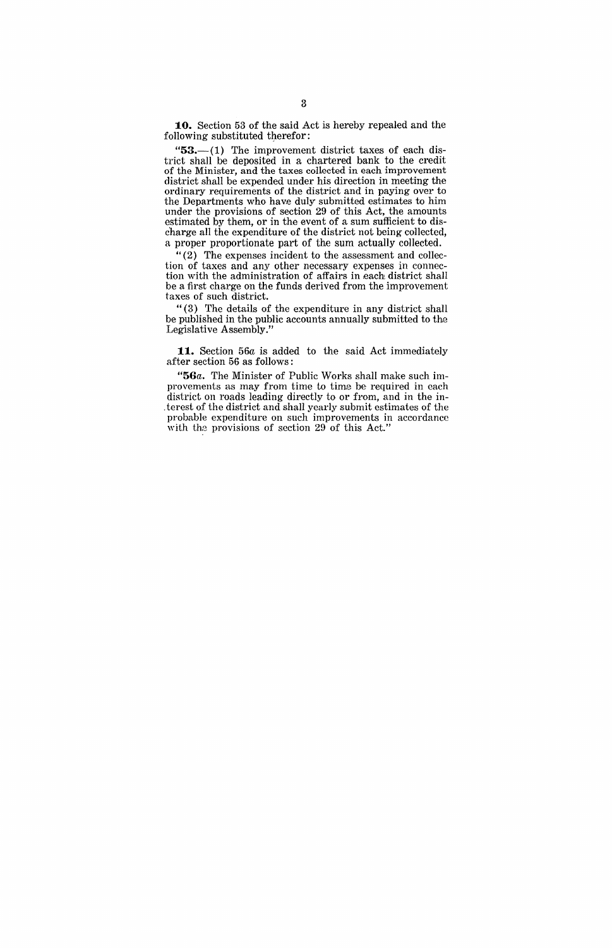10. Section 53 of the said Act is hereby repealed and the following substituted therefor:

" $53$ , $-$ (1) The improvement district taxes of each district shall be deposited in a chartered bank to the credit of the Minister, and the taxes collected in each improvement district shall be expended under his direction in meeting the ordinary requirements of the district and in paying over to the Departments who have duly submitted estimates to him under the provisions of section 29 of this Act, the amounts estimated by them, or in the event of a sum sufficient to discharge all the expenditure of the district not being collected, a proper proportionate part of the sum actually collected.

"(2) The expenses incident to the assessment and collection of taxes and any other necessary expenses in connection with the administration of affairs in each district shall be a first charge on the funds derived from the improvement taxes of such district.

" (3) The details of the expenditure in any district shall be published in the public accounts annually submitted to the Legislative Assembly."

**11.** Section 56a is added to the said Act immediately after section 56 as follows:

*"56a.* The Minister of Public Works shall make such improvements as may from time to time be required in each district on roads leading directly to or from, and in the interest of the district and shall yearly submit estimates of the probable expenditure on such improvements in accordance with the provisions of section 29 of this Act."